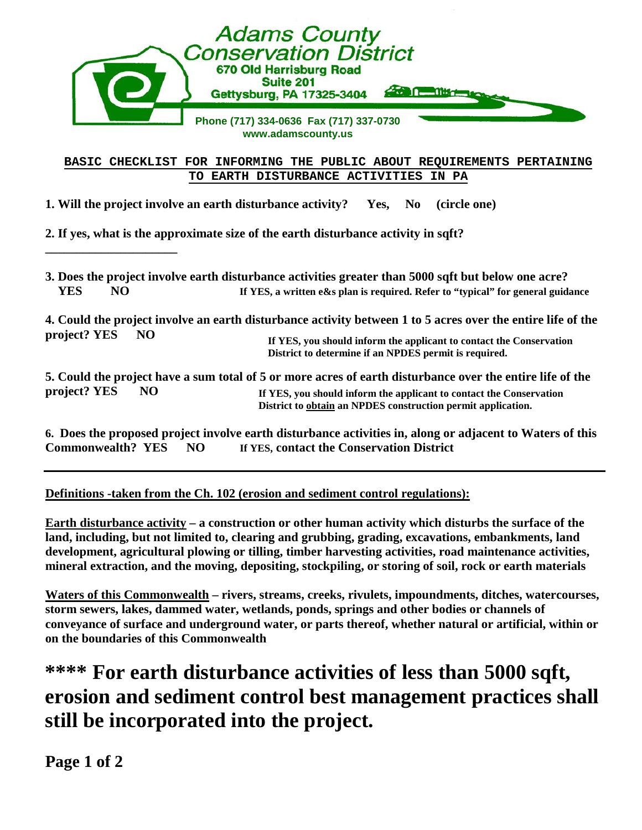| <b>Adams County<br/>Conservation District</b><br>670 Old Harrisburg Road<br><b>Suite 201</b><br>Gettysburg, PA 17325-3404                                                                       |
|-------------------------------------------------------------------------------------------------------------------------------------------------------------------------------------------------|
| Phone (717) 334-0636 Fax (717) 337-0730<br>www.adamscounty.us                                                                                                                                   |
| BASIC CHECKLIST FOR INFORMING THE PUBLIC ABOUT REQUIREMENTS PERTAINING                                                                                                                          |
| EARTH DISTURBANCE ACTIVITIES<br>TO.<br>IN PA                                                                                                                                                    |
| 1. Will the project involve an earth disturbance activity? Yes,<br>(circle one)<br>$\mathbf{N}\mathbf{0}$<br>2. If yes, what is the approximate size of the earth disturbance activity in sqft? |

| <b>YES</b>               | NO. | 3. Does the project involve earth disturbance activities greater than 5000 sqft but below one acre?<br>If YES, a written e&s plan is required. Refer to "typical" for general guidance                                                           |
|--------------------------|-----|--------------------------------------------------------------------------------------------------------------------------------------------------------------------------------------------------------------------------------------------------|
| project? YES             | NO. | 4. Could the project involve an earth disturbance activity between 1 to 5 acres over the entire life of the<br>If YES, you should inform the applicant to contact the Conservation<br>District to determine if an NPDES permit is required.      |
| project? YES             | NO. | 5. Could the project have a sum total of 5 or more acres of earth disturbance over the entire life of the<br>If YES, you should inform the applicant to contact the Conservation<br>District to obtain an NPDES construction permit application. |
| <b>Commonwealth? YES</b> |     | 6. Does the proposed project involve earth disturbance activities in, along or adjacent to Waters of this<br>If YES, contact the Conservation District<br>NO.                                                                                    |

**Definitions -taken from the Ch. 102 (erosion and sediment control regulations):**

**Earth disturbance activity – a construction or other human activity which disturbs the surface of the land, including, but not limited to, clearing and grubbing, grading, excavations, embankments, land development, agricultural plowing or tilling, timber harvesting activities, road maintenance activities, mineral extraction, and the moving, depositing, stockpiling, or storing of soil, rock or earth materials**

**Waters of this Commonwealth – rivers, streams, creeks, rivulets, impoundments, ditches, watercourses, storm sewers, lakes, dammed water, wetlands, ponds, springs and other bodies or channels of conveyance of surface and underground water, or parts thereof, whether natural or artificial, within or on the boundaries of this Commonwealth**

## **\*\*\*\* For earth disturbance activities of less than 5000 sqft, erosion and sediment control best management practices shall still be incorporated into the project.**

**Page 1 of 2**

**\_\_\_\_\_\_\_\_\_\_\_\_\_\_\_\_\_\_\_\_\_**